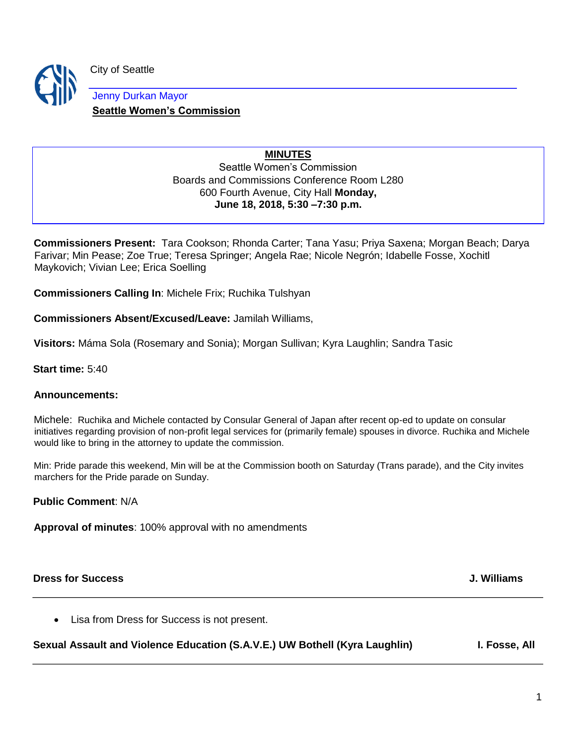

City of Seattle

Jenny Durkan Mayor **Seattle Women's Commission**

### **MINUTES**

Seattle Women's Commission Boards and Commissions Conference Room L280 600 Fourth Avenue, City Hall **Monday, June 18, 2018, 5:30 –7:30 p.m.** 

**Commissioners Present:** Tara Cookson; Rhonda Carter; Tana Yasu; Priya Saxena; Morgan Beach; Darya Farivar; Min Pease; Zoe True; Teresa Springer; Angela Rae; Nicole Negrón; Idabelle Fosse, Xochitl Maykovich; Vivian Lee; Erica Soelling

**Commissioners Calling In**: Michele Frix; Ruchika Tulshyan

**Commissioners Absent/Excused/Leave:** Jamilah Williams,

**Visitors:** Máma Sola (Rosemary and Sonia); Morgan Sullivan; Kyra Laughlin; Sandra Tasic

**Start time:** 5:40

### **Announcements:**

Michele: Ruchika and Michele contacted by Consular General of Japan after recent op-ed to update on consular initiatives regarding provision of non-profit legal services for (primarily female) spouses in divorce. Ruchika and Michele would like to bring in the attorney to update the commission.

Min: Pride parade this weekend, Min will be at the Commission booth on Saturday (Trans parade), and the City invites marchers for the Pride parade on Sunday.

**Public Comment**: N/A

**Approval of minutes**: 100% approval with no amendments

**Dress for Success J. Williams**

• Lisa from Dress for Success is not present.

Sexual Assault and Violence Education (S.A.V.E.) UW Bothell (Kyra Laughlin) **I. Fosse, All**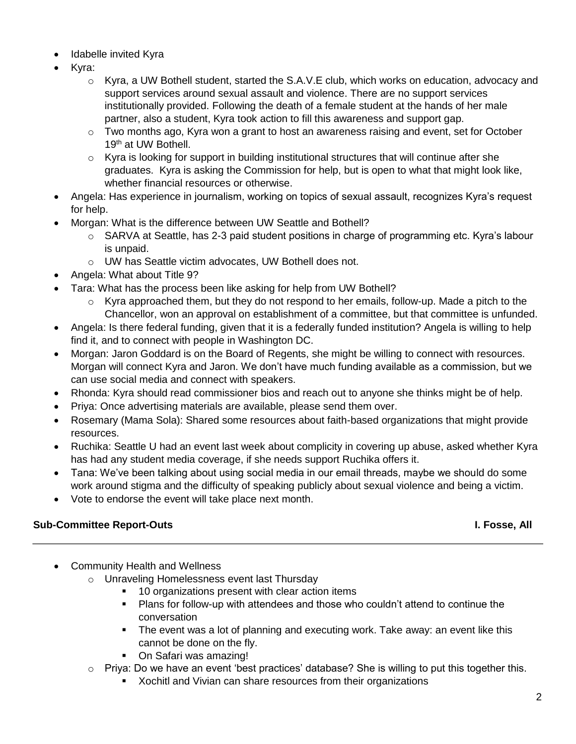- Idabelle invited Kyra
- Kyra:
	- $\circ$  Kyra, a UW Bothell student, started the S.A.V. E club, which works on education, advocacy and support services around sexual assault and violence. There are no support services institutionally provided. Following the death of a female student at the hands of her male partner, also a student, Kyra took action to fill this awareness and support gap.
	- o Two months ago, Kyra won a grant to host an awareness raising and event, set for October 19<sup>th</sup> at UW Bothell.
	- $\circ$  Kyra is looking for support in building institutional structures that will continue after she graduates. Kyra is asking the Commission for help, but is open to what that might look like, whether financial resources or otherwise.
- Angela: Has experience in journalism, working on topics of sexual assault, recognizes Kyra's request for help.
- Morgan: What is the difference between UW Seattle and Bothell?
	- o SARVA at Seattle, has 2-3 paid student positions in charge of programming etc. Kyra's labour is unpaid.
	- o UW has Seattle victim advocates, UW Bothell does not.
- Angela: What about Title 9?
- Tara: What has the process been like asking for help from UW Bothell?
	- $\circ$  Kyra approached them, but they do not respond to her emails, follow-up. Made a pitch to the Chancellor, won an approval on establishment of a committee, but that committee is unfunded.
- Angela: Is there federal funding, given that it is a federally funded institution? Angela is willing to help find it, and to connect with people in Washington DC.
- Morgan: Jaron Goddard is on the Board of Regents, she might be willing to connect with resources. Morgan will connect Kyra and Jaron. We don't have much funding available as a commission, but we can use social media and connect with speakers.
- Rhonda: Kyra should read commissioner bios and reach out to anyone she thinks might be of help.
- Priya: Once advertising materials are available, please send them over.
- Rosemary (Mama Sola): Shared some resources about faith-based organizations that might provide resources.
- Ruchika: Seattle U had an event last week about complicity in covering up abuse, asked whether Kyra has had any student media coverage, if she needs support Ruchika offers it.
- Tana: We've been talking about using social media in our email threads, maybe we should do some work around stigma and the difficulty of speaking publicly about sexual violence and being a victim.
- Vote to endorse the event will take place next month.

# **Sub-Committee Report-Outs I. Fosse, All**

- Community Health and Wellness
	- o Unraveling Homelessness event last Thursday
		- 10 organizations present with clear action items
		- Plans for follow-up with attendees and those who couldn't attend to continue the conversation
		- **•** The event was a lot of planning and executing work. Take away: an event like this cannot be done on the fly.
		- On Safari was amazing!
	- $\circ$  Priya: Do we have an event 'best practices' database? She is willing to put this together this.
		- Xochitl and Vivian can share resources from their organizations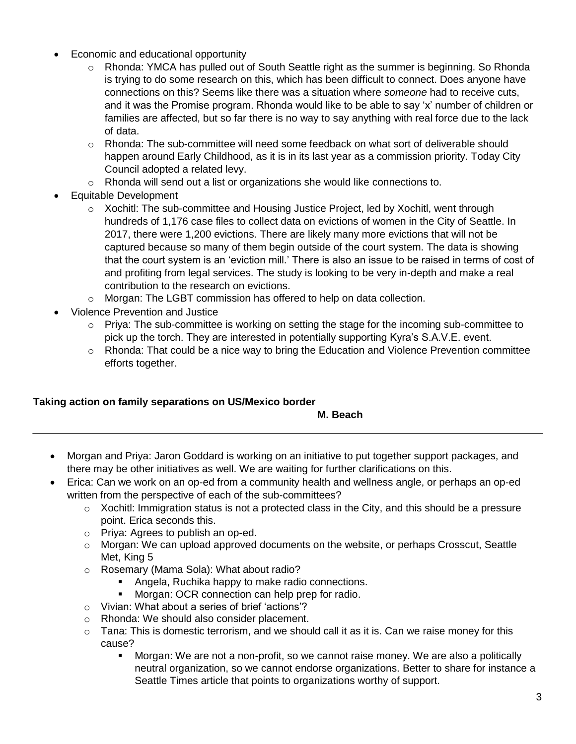- Economic and educational opportunity
	- o Rhonda: YMCA has pulled out of South Seattle right as the summer is beginning. So Rhonda is trying to do some research on this, which has been difficult to connect. Does anyone have connections on this? Seems like there was a situation where *someone* had to receive cuts, and it was the Promise program. Rhonda would like to be able to say 'x' number of children or families are affected, but so far there is no way to say anything with real force due to the lack of data.
	- o Rhonda: The sub-committee will need some feedback on what sort of deliverable should happen around Early Childhood, as it is in its last year as a commission priority. Today City Council adopted a related levy.
	- $\circ$  Rhonda will send out a list or organizations she would like connections to.
- Equitable Development
	- $\circ$  Xochitl: The sub-committee and Housing Justice Project, led by Xochitl, went through hundreds of 1,176 case files to collect data on evictions of women in the City of Seattle. In 2017, there were 1,200 evictions. There are likely many more evictions that will not be captured because so many of them begin outside of the court system. The data is showing that the court system is an 'eviction mill.' There is also an issue to be raised in terms of cost of and profiting from legal services. The study is looking to be very in-depth and make a real contribution to the research on evictions.
	- o Morgan: The LGBT commission has offered to help on data collection.
- Violence Prevention and Justice
	- o Priya: The sub-committee is working on setting the stage for the incoming sub-committee to pick up the torch. They are interested in potentially supporting Kyra's S.A.V.E. event.
	- o Rhonda: That could be a nice way to bring the Education and Violence Prevention committee efforts together.

## **Taking action on family separations on US/Mexico border**

### **M. Beach**

- Morgan and Priya: Jaron Goddard is working on an initiative to put together support packages, and there may be other initiatives as well. We are waiting for further clarifications on this.
- Erica: Can we work on an op-ed from a community health and wellness angle, or perhaps an op-ed written from the perspective of each of the sub-committees?
	- $\circ$  Xochitl: Immigration status is not a protected class in the City, and this should be a pressure point. Erica seconds this.
	- o Priya: Agrees to publish an op-ed.
	- $\circ$  Morgan: We can upload approved documents on the website, or perhaps Crosscut, Seattle Met, King 5
	- o Rosemary (Mama Sola): What about radio?
		- Angela, Ruchika happy to make radio connections.
		- Morgan: OCR connection can help prep for radio.
	- o Vivian: What about a series of brief 'actions'?
	- o Rhonda: We should also consider placement.
	- $\circ$  Tana: This is domestic terrorism, and we should call it as it is. Can we raise money for this cause?
		- Morgan: We are not a non-profit, so we cannot raise money. We are also a politically neutral organization, so we cannot endorse organizations. Better to share for instance a Seattle Times article that points to organizations worthy of support.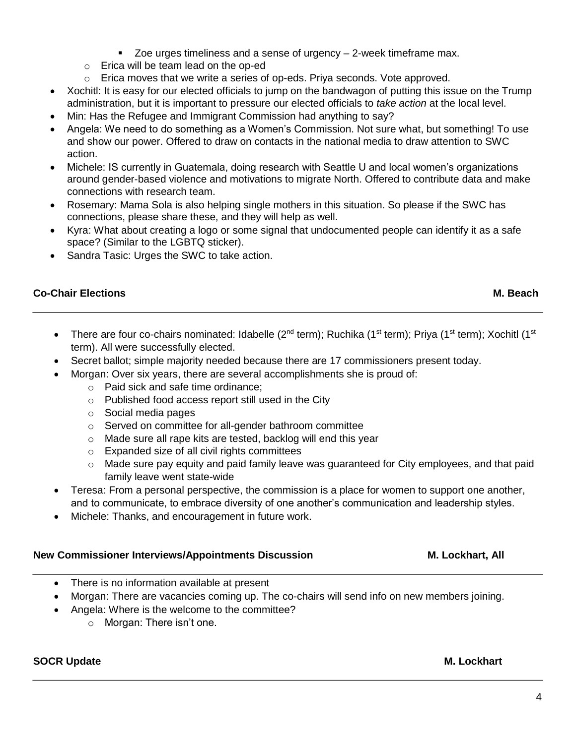- Zoe urges timeliness and a sense of urgency 2-week timeframe max.
- o Erica will be team lead on the op-ed
- $\circ$  Erica moves that we write a series of op-eds. Priya seconds. Vote approved.
- Xochitl: It is easy for our elected officials to jump on the bandwagon of putting this issue on the Trump administration, but it is important to pressure our elected officials to *take action* at the local level.
- Min: Has the Refugee and Immigrant Commission had anything to say?
- Angela: We need to do something as a Women's Commission. Not sure what, but something! To use and show our power. Offered to draw on contacts in the national media to draw attention to SWC action.
- Michele: IS currently in Guatemala, doing research with Seattle U and local women's organizations around gender-based violence and motivations to migrate North. Offered to contribute data and make connections with research team.
- Rosemary: Mama Sola is also helping single mothers in this situation. So please if the SWC has connections, please share these, and they will help as well.
- Kyra: What about creating a logo or some signal that undocumented people can identify it as a safe space? (Similar to the LGBTQ sticker).
- Sandra Tasic: Urges the SWC to take action.

## **Co-Chair Elections M. Beach**

- There are four co-chairs nominated: Idabelle (2<sup>nd</sup> term); Ruchika (1<sup>st</sup> term); Priya (1<sup>st</sup> term); Xochitl (1<sup>st</sup> term). All were successfully elected.
- Secret ballot; simple majority needed because there are 17 commissioners present today.
- Morgan: Over six years, there are several accomplishments she is proud of:
	- o Paid sick and safe time ordinance;
	- o Published food access report still used in the City
	- o Social media pages
	- o Served on committee for all-gender bathroom committee
	- o Made sure all rape kits are tested, backlog will end this year
	- o Expanded size of all civil rights committees
	- o Made sure pay equity and paid family leave was guaranteed for City employees, and that paid family leave went state-wide
- Teresa: From a personal perspective, the commission is a place for women to support one another, and to communicate, to embrace diversity of one another's communication and leadership styles.
- Michele: Thanks, and encouragement in future work.

## **New Commissioner Interviews/Appointments Discussion M. Lockhart, All**

- There is no information available at present
- Morgan: There are vacancies coming up. The co-chairs will send info on new members joining.
- Angela: Where is the welcome to the committee?
	- o Morgan: There isn't one.

# **SOCR Update M. Lockhart**